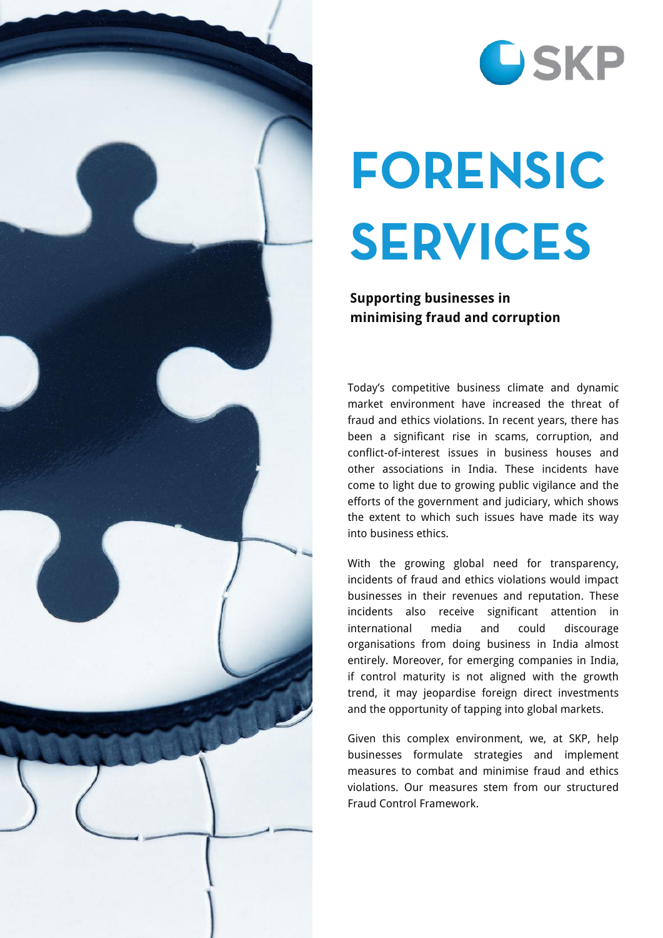

## **OSKP**

# **FORENSIC SERVICES**

## **Supporting businesses in minimising fraud and corruption**

Today's competitive business climate and dynamic market environment have increased the threat of fraud and ethics violations. In recent years, there has been a significant rise in scams, corruption, and conflict-of-interest issues in business houses and other associations in India. These incidents have come to light due to growing public vigilance and the efforts of the government and judiciary, which shows the extent to which such issues have made its way into business ethics.

With the growing global need for transparency, incidents of fraud and ethics violations would impact businesses in their revenues and reputation. These incidents also receive significant attention in international media and could discourage organisations from doing business in India almost entirely. Moreover, for emerging companies in India, if control maturity is not aligned with the growth trend, it may jeopardise foreign direct investments and the opportunity of tapping into global markets.

Given this complex environment, we, at SKP, help businesses formulate strategies and implement measures to combat and minimise fraud and ethics violations. Our measures stem from our structured Fraud Control Framework.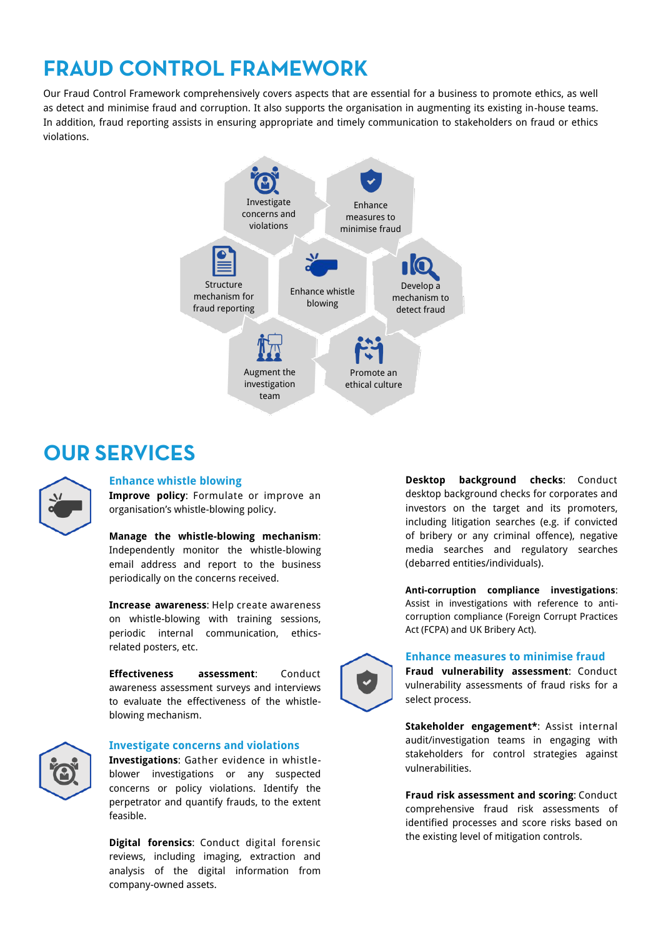## **FRAUD CONTROL FRAMEWORK**

Our Fraud Control Framework comprehensively covers aspects that are essential for a business to promote ethics, as well as detect and minimise fraud and corruption. It also supports the organisation in augmenting its existing in-house teams. In addition, fraud reporting assists in ensuring appropriate and timely communication to stakeholders on fraud or ethics violations.



## **OUR SERVICES**



### **Enhance whistle blowing**

**Improve policy**: Formulate or improve an organisation's whistle-blowing policy.

**Manage the whistle-blowing mechanism**: Independently monitor the whistle-blowing email address and report to the business periodically on the concerns received.

**Increase awareness**: Help create awareness on whistle-blowing with training sessions, periodic internal communication, ethicsrelated posters, etc.

**Effectiveness assessment**: Conduct awareness assessment surveys and interviews to evaluate the effectiveness of the whistleblowing mechanism.



#### **Investigate concerns and violations**

**Investigations**: Gather evidence in whistleblower investigations or any suspected concerns or policy violations. Identify the perpetrator and quantify frauds, to the extent feasible.

**Digital forensics**: Conduct digital forensic reviews, including imaging, extraction and analysis of the digital information from company-owned assets.

**Desktop background checks**: Conduct desktop background checks for corporates and investors on the target and its promoters, including litigation searches (e.g. if convicted of bribery or any criminal offence), negative media searches and regulatory searches (debarred entities/individuals).

**Anti-corruption compliance investigations**: Assist in investigations with reference to anticorruption compliance (Foreign Corrupt Practices Act (FCPA) and UK Bribery Act).



#### **Enhance measures to minimise fraud**

**Fraud vulnerability assessment**: Conduct vulnerability assessments of fraud risks for a select process.

**Stakeholder engagement\***: Assist internal audit/investigation teams in engaging with stakeholders for control strategies against vulnerabilities.

**Fraud risk assessment and scoring**: Conduct comprehensive fraud risk assessments of identified processes and score risks based on the existing level of mitigation controls.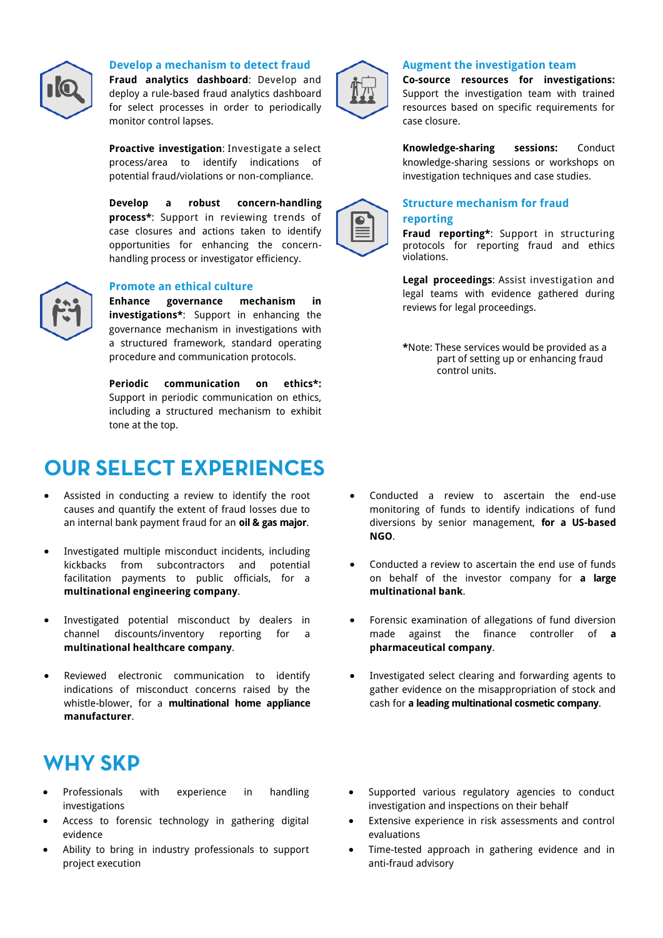

#### **Develop a mechanism to detect fraud**

**Fraud analytics dashboard**: Develop and deploy a rule-based fraud analytics dashboard for select processes in order to periodically monitor control lapses.

**Proactive investigation**: Investigate a select process/area to identify indications of potential fraud/violations or non-compliance.

**Develop a robust concern-handling process\***: Support in reviewing trends of case closures and actions taken to identify opportunities for enhancing the concernhandling process or investigator efficiency.



#### **Promote an ethical culture**

**Enhance governance mechanism in investigations\***: Support in enhancing the governance mechanism in investigations with a structured framework, standard operating procedure and communication protocols.

**Periodic communication on ethics\*:**  Support in periodic communication on ethics, including a structured mechanism to exhibit tone at the top.

## **OUR SELECT EXPERIENCES**

- Assisted in conducting a review to identify the root causes and quantify the extent of fraud losses due to an internal bank payment fraud for an **oil & gas major**.
- Investigated multiple misconduct incidents, including kickbacks from subcontractors and potential facilitation payments to public officials, for a **multinational engineering company**.
- Investigated potential misconduct by dealers in channel discounts/inventory reporting for a **multinational healthcare company**.
- Reviewed electronic communication to identify indications of misconduct concerns raised by the whistle-blower, for a **multinational home appliance manufacturer**.

## **WHY SKP**

- Professionals with experience in handling investigations
- Access to forensic technology in gathering digital evidence
- Ability to bring in industry professionals to support project execution



#### **Augment the investigation team**

**Co-source resources for investigations:** Support the investigation team with trained resources based on specific requirements for case closure.

**Knowledge-sharing sessions:** Conduct knowledge-sharing sessions or workshops on investigation techniques and case studies.



### **Structure mechanism for fraud reporting**

**Fraud reporting\***: Support in structuring protocols for reporting fraud and ethics violations.

**Legal proceedings**: Assist investigation and legal teams with evidence gathered during reviews for legal proceedings.

**\***Note: These services would be provided as a part of setting up or enhancing fraud control units.

- Conducted a review to ascertain the end-use monitoring of funds to identify indications of fund diversions by senior management, **for a US-based NGO**.
- Conducted a review to ascertain the end use of funds on behalf of the investor company for **a large multinational bank**.
- Forensic examination of allegations of fund diversion made against the finance controller of **a pharmaceutical company**.
- Investigated select clearing and forwarding agents to gather evidence on the misappropriation of stock and cash for **a leading multinational cosmetic company**.
- Supported various regulatory agencies to conduct investigation and inspections on their behalf
- Extensive experience in risk assessments and control evaluations
- Time-tested approach in gathering evidence and in anti-fraud advisory